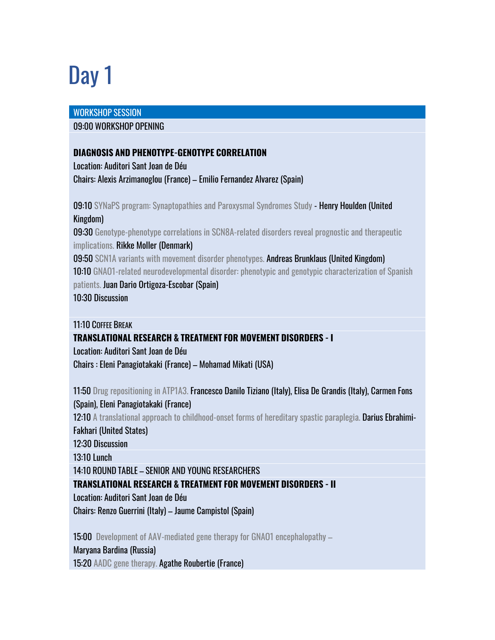# Day 1

#### WORKSHOP SESSION

#### 09:00 WORKSHOP OPENING

## **DIAGNOSIS AND PHENOTYPE-GENOTYPE CORRELATION**

Location: Auditori Sant Joan de Déu Chairs: Alexis Arzimanoglou (France) – Emilio Fernandez Alvarez (Spain)

09:10 SYNaPS program: Synaptopathies and Paroxysmal Syndromes Study - Henry Houlden (United Kingdom)

09:30 Genotype-phenotype correlations in SCN8A-related disorders reveal prognostic and therapeutic implications. Rikke Moller (Denmark)

09:50 SCN1A variants with movement disorder phenotypes. Andreas Brunklaus (United Kingdom)

10:10 GNAO1-related neurodevelopmental disorder: phenotypic and genotypic characterization of Spanish

patients. Juan Dario Ortigoza-Escobar (Spain) 10:30 Discussion

11:10 COFFEE BREAK

#### **TRANSLATIONAL RESEARCH & TREATMENT FOR MOVEMENT DISORDERS - I**

Location: Auditori Sant Joan de Déu Chairs : Eleni Panagiotakaki (France) – Mohamad Mikati (USA)

11:50 Drug repositioning in ATP1A3. Francesco Danilo Tiziano (Italy), Elisa De Grandis (Italy), Carmen Fons (Spain), Eleni Panagiotakaki (France) 12:10 A translational approach to childhood-onset forms of hereditary spastic paraplegia. Darius Ebrahimi-Fakhari (United States) 12:30 Discussion 13:10 Lunch 14:10 ROUND TABLE – SENIOR AND YOUNG RESEARCHERS **TRANSLATIONAL RESEARCH & TREATMENT FOR MOVEMENT DISORDERS - II** Location: Auditori Sant Joan de Déu Chairs: Renzo Guerrini (Italy) – Jaume Campistol (Spain) 15:00 Development of AAV-mediated gene therapy for GNAO1 encephalopathy –

Maryana Bardina (Russia) 15:20 AADC gene therapy. Agathe Roubertie (France)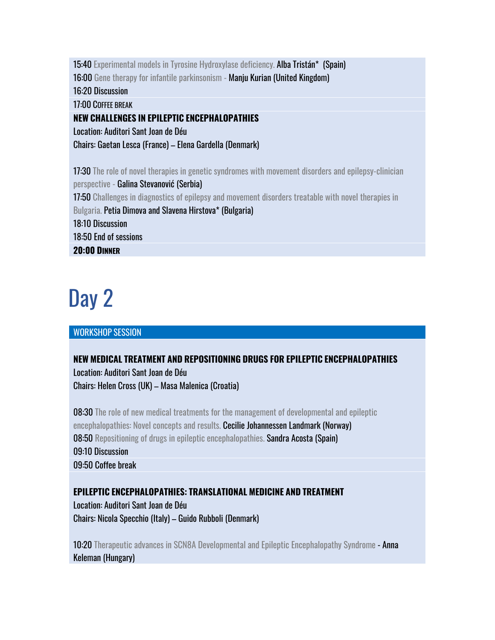15:40 Experimental models in Tyrosine Hydroxylase deficiency. Alba Tristán\* (Spain)

16:00 Gene therapy for infantile parkinsonism - Manju Kurian (United Kingdom)

16:20 Discussion

17:00 COFFEE BREAK

## **NEW CHALLENGES IN EPILEPTIC ENCEPHALOPATHIES**

Location: Auditori Sant Joan de Déu

Chairs: Gaetan Lesca (France) – Elena Gardella (Denmark)

17:30 The role of novel therapies in genetic syndromes with movement disorders and epilepsy-clinician perspective - Galina Stevanović (Serbia) 17:50 Challenges in diagnostics of epilepsy and movement disorders treatable with novel therapies in Bulgaria. Petia Dimova and Slavena Hirstova\* (Bulgaria) 18:10 Discussion 18:50 End of sessions **20:00 DINNER** 

## Day 2

## WORKSHOP SESSION

## **NEW MEDICAL TREATMENT AND REPOSITIONING DRUGS FOR EPILEPTIC ENCEPHALOPATHIES** Location: Auditori Sant Joan de Déu Chairs: Helen Cross (UK) – Masa Malenica (Croatia)

08:30 The role of new medical treatments for the management of developmental and epileptic encephalopathies: Novel concepts and results. Cecilie Johannessen Landmark (Norway) 08:50 Repositioning of drugs in epileptic encephalopathies. Sandra Acosta (Spain) 09:10 Discussion 09:50 Coffee break

## **EPILEPTIC ENCEPHALOPATHIES: TRANSLATIONAL MEDICINE AND TREATMENT**

Location: Auditori Sant Joan de Déu Chairs: Nicola Specchio (Italy) – Guido Rubboli (Denmark)

10:20 Therapeutic advances in SCN8A Developmental and Epileptic Encephalopathy Syndrome - Anna Keleman (Hungary)